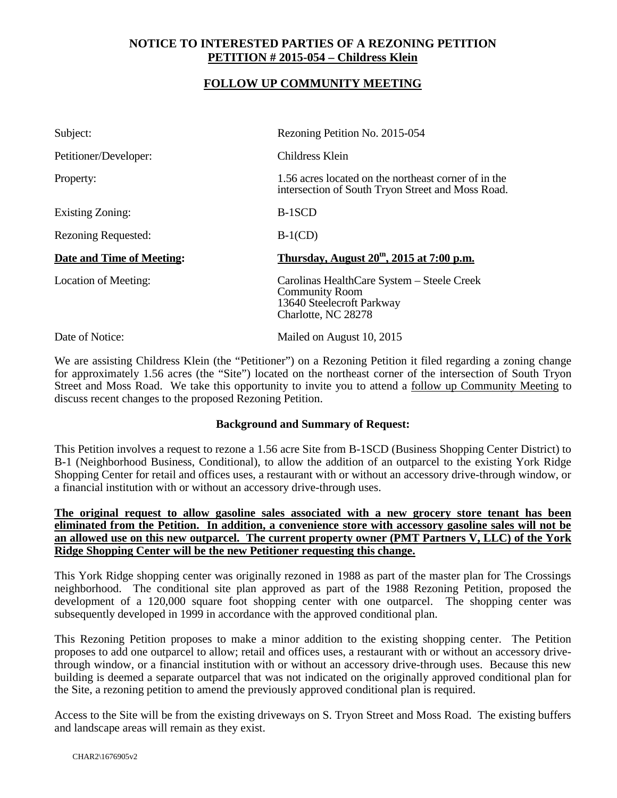## **NOTICE TO INTERESTED PARTIES OF A REZONING PETITION PETITION # 2015-054 – Childress Klein**

## **FOLLOW UP COMMUNITY MEETING**

| Subject:                   | Rezoning Petition No. 2015-054                                                                                          |
|----------------------------|-------------------------------------------------------------------------------------------------------------------------|
| Petitioner/Developer:      | Childress Klein                                                                                                         |
| Property:                  | 1.56 acres located on the northeast corner of in the<br>intersection of South Tryon Street and Moss Road.               |
| Existing Zoning:           | B-1SCD                                                                                                                  |
| <b>Rezoning Requested:</b> | $B-1(CD)$                                                                                                               |
| Date and Time of Meeting:  | Thursday, August $20th$ , 2015 at 7:00 p.m.                                                                             |
| Location of Meeting:       | Carolinas HealthCare System – Steele Creek<br><b>Community Room</b><br>13640 Steelecroft Parkway<br>Charlotte, NC 28278 |
| Date of Notice:            | Mailed on August 10, 2015                                                                                               |

We are assisting Childress Klein (the "Petitioner") on a Rezoning Petition it filed regarding a zoning change for approximately 1.56 acres (the "Site") located on the northeast corner of the intersection of South Tryon Street and Moss Road. We take this opportunity to invite you to attend a follow up Community Meeting to discuss recent changes to the proposed Rezoning Petition.

## **Background and Summary of Request:**

This Petition involves a request to rezone a 1.56 acre Site from B-1SCD (Business Shopping Center District) to B-1 (Neighborhood Business, Conditional), to allow the addition of an outparcel to the existing York Ridge Shopping Center for retail and offices uses, a restaurant with or without an accessory drive-through window, or a financial institution with or without an accessory drive-through uses.

**The original request to allow gasoline sales associated with a new grocery store tenant has been eliminated from the Petition. In addition, a convenience store with accessory gasoline sales will not be an allowed use on this new outparcel. The current property owner (PMT Partners V, LLC) of the York Ridge Shopping Center will be the new Petitioner requesting this change.**

This York Ridge shopping center was originally rezoned in 1988 as part of the master plan for The Crossings neighborhood. The conditional site plan approved as part of the 1988 Rezoning Petition, proposed the development of a 120,000 square foot shopping center with one outparcel. The shopping center was subsequently developed in 1999 in accordance with the approved conditional plan.

This Rezoning Petition proposes to make a minor addition to the existing shopping center. The Petition proposes to add one outparcel to allow; retail and offices uses, a restaurant with or without an accessory drivethrough window, or a financial institution with or without an accessory drive-through uses. Because this new building is deemed a separate outparcel that was not indicated on the originally approved conditional plan for the Site, a rezoning petition to amend the previously approved conditional plan is required.

Access to the Site will be from the existing driveways on S. Tryon Street and Moss Road. The existing buffers and landscape areas will remain as they exist.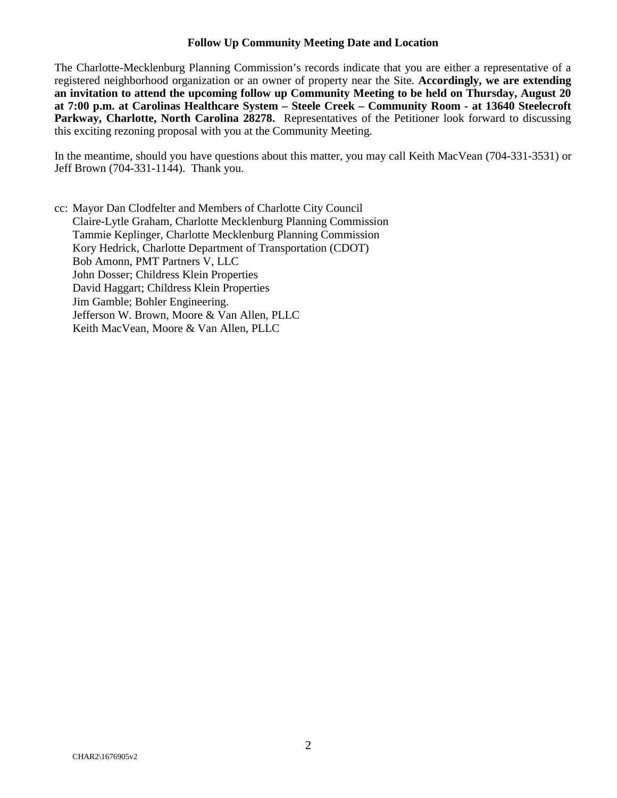## **Follow Up Community Meeting Date and Location**

The Charlotte-Mecklenburg Planning Commission's records indicate that you are either a representative of a registered neighborhood organization or an owner of property near the Site. **Accordingly, we are extending an invitation to attend the upcoming follow up Community Meeting to be held on Thursday, August 20 at 7:00 p.m. at Carolinas Healthcare System – Steele Creek – Community Room - at 13640 Steelecroft**  Parkway, Charlotte, North Carolina 28278. Representatives of the Petitioner look forward to discussing this exciting rezoning proposal with you at the Community Meeting.

In the meantime, should you have questions about this matter, you may call Keith MacVean (704-331-3531) or Jeff Brown (704-331-1144). Thank you.

cc: Mayor Dan Clodfelter and Members of Charlotte City Council Claire-Lytle Graham, Charlotte Mecklenburg Planning Commission Tammie Keplinger, Charlotte Mecklenburg Planning Commission Kory Hedrick, Charlotte Department of Transportation (CDOT) Bob Amonn, PMT Partners V, LLC John Dosser; Childress Klein Properties David Haggart; Childress Klein Properties Jim Gamble; Bohler Engineering. Jefferson W. Brown, Moore & Van Allen, PLLC Keith MacVean, Moore & Van Allen, PLLC